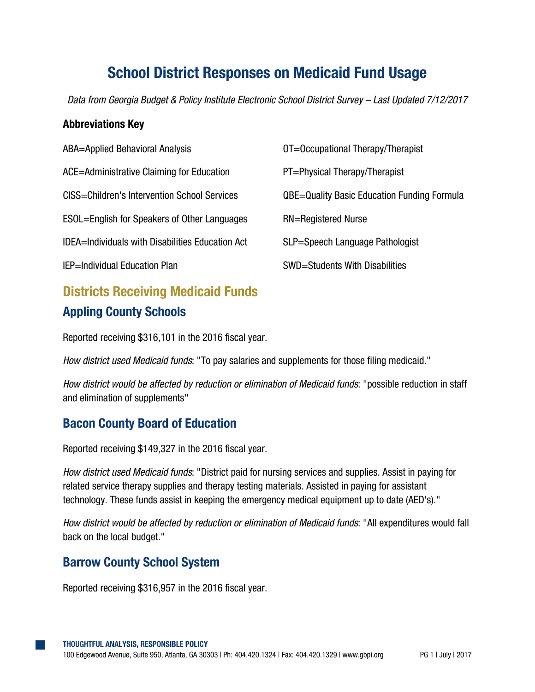# **School District Responses on Medicaid Fund Usage**

*Data from Georgia Budget & Policy Institute Electronic School District Survey – Last Updated 7/12/2017*

#### **Abbreviations Key**

| <b>ABA=Applied Behavioral Analysis</b>                  | OT=Occupational Therapy/Therapist                  |
|---------------------------------------------------------|----------------------------------------------------|
| ACE=Administrative Claiming for Education               | PT=Physical Therapy/Therapist                      |
| CISS=Children's Intervention School Services            | <b>QBE=Quality Basic Education Funding Formula</b> |
| ESOL=English for Speakers of Other Languages            | <b>RN=Registered Nurse</b>                         |
| <b>IDEA=Individuals with Disabilities Education Act</b> | SLP=Speech Language Pathologist                    |
| <b>IEP=Individual Education Plan</b>                    | SWD=Students With Disabilities                     |

## **Districts Receiving Medicaid Funds Appling County Schools**

Reported receiving \$316,101 in the 2016 fiscal year.

*How district used Medicaid funds*: "To pay salaries and supplements for those filing medicaid."

*How district would be affected by reduction or elimination of Medicaid funds*: "possible reduction in staff and elimination of supplements"

#### **Bacon County Board of Education**

Reported receiving \$149,327 in the 2016 fiscal year.

*How district used Medicaid funds*: "District paid for nursing services and supplies. Assist in paying for related service therapy supplies and therapy testing materials. Assisted in paying for assistant technology. These funds assist in keeping the emergency medical equipment up to date (AED's)."

*How district would be affected by reduction or elimination of Medicaid funds*: "All expenditures would fall back on the local budget."

#### **Barrow County School System**

Reported receiving \$316,957 in the 2016 fiscal year.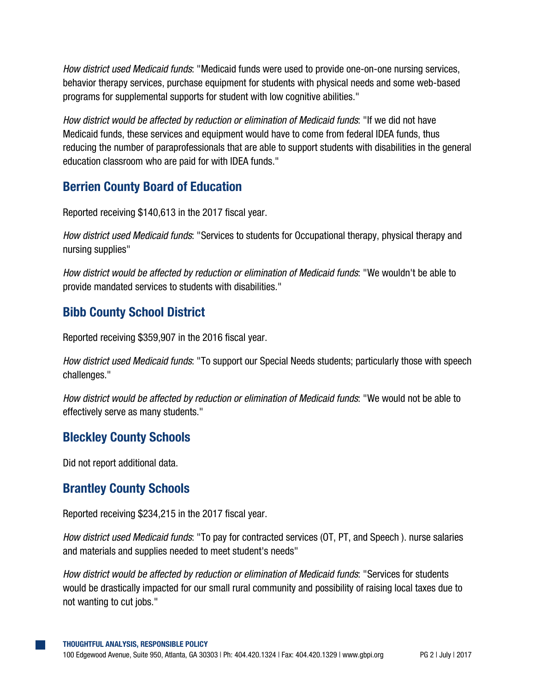*How district used Medicaid funds*: "Medicaid funds were used to provide one-on-one nursing services, behavior therapy services, purchase equipment for students with physical needs and some web-based programs for supplemental supports for student with low cognitive abilities."

*How district would be affected by reduction or elimination of Medicaid funds*: "If we did not have Medicaid funds, these services and equipment would have to come from federal IDEA funds, thus reducing the number of paraprofessionals that are able to support students with disabilities in the general education classroom who are paid for with IDEA funds."

## **Berrien County Board of Education**

Reported receiving \$140,613 in the 2017 fiscal year.

*How district used Medicaid funds*: "Services to students for Occupational therapy, physical therapy and nursing supplies"

*How district would be affected by reduction or elimination of Medicaid funds*: "We wouldn't be able to provide mandated services to students with disabilities."

## **Bibb County School District**

Reported receiving \$359,907 in the 2016 fiscal year.

*How district used Medicaid funds*: "To support our Special Needs students; particularly those with speech challenges."

*How district would be affected by reduction or elimination of Medicaid funds*: "We would not be able to effectively serve as many students."

## **Bleckley County Schools**

Did not report additional data.

#### **Brantley County Schools**

Reported receiving \$234,215 in the 2017 fiscal year.

*How district used Medicaid funds*: "To pay for contracted services (OT, PT, and Speech ). nurse salaries and materials and supplies needed to meet student's needs"

*How district would be affected by reduction or elimination of Medicaid funds*: "Services for students would be drastically impacted for our small rural community and possibility of raising local taxes due to not wanting to cut jobs."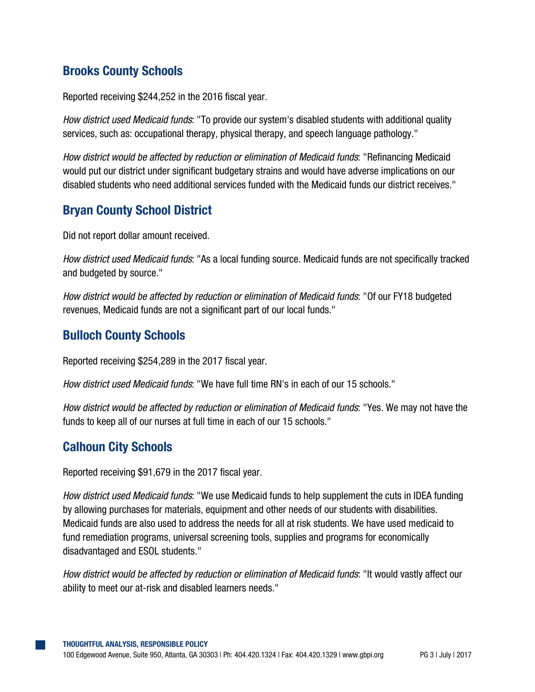## **Brooks County Schools**

Reported receiving \$244,252 in the 2016 fiscal year.

*How district used Medicaid funds*: "To provide our system's disabled students with additional quality services, such as: occupational therapy, physical therapy, and speech language pathology."

*How district would be affected by reduction or elimination of Medicaid funds*: "Refinancing Medicaid would put our district under significant budgetary strains and would have adverse implications on our disabled students who need additional services funded with the Medicaid funds our district receives."

## **Bryan County School District**

Did not report dollar amount received.

*How district used Medicaid funds*: "As a local funding source. Medicaid funds are not specifically tracked and budgeted by source."

*How district would be affected by reduction or elimination of Medicaid funds*: "Of our FY18 budgeted revenues, Medicaid funds are not a significant part of our local funds."

## **Bulloch County Schools**

Reported receiving \$254,289 in the 2017 fiscal year.

*How district used Medicaid funds*: "We have full time RN's in each of our 15 schools."

*How district would be affected by reduction or elimination of Medicaid funds*: "Yes. We may not have the funds to keep all of our nurses at full time in each of our 15 schools."

#### **Calhoun City Schools**

Reported receiving \$91,679 in the 2017 fiscal year.

*How district used Medicaid funds*: "We use Medicaid funds to help supplement the cuts in IDEA funding by allowing purchases for materials, equipment and other needs of our students with disabilities. Medicaid funds are also used to address the needs for all at risk students. We have used medicaid to fund remediation programs, universal screening tools, supplies and programs for economically disadvantaged and ESOL students."

*How district would be affected by reduction or elimination of Medicaid funds*: "It would vastly affect our ability to meet our at-risk and disabled learners needs."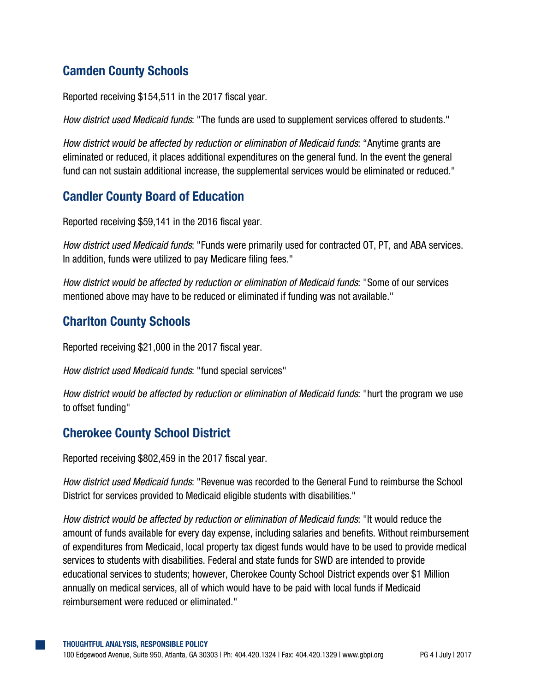## **Camden County Schools**

Reported receiving \$154,511 in the 2017 fiscal year.

*How district used Medicaid funds*: "The funds are used to supplement services offered to students."

*How district would be affected by reduction or elimination of Medicaid funds*: "Anytime grants are eliminated or reduced, it places additional expenditures on the general fund. In the event the general fund can not sustain additional increase, the supplemental services would be eliminated or reduced."

#### **Candler County Board of Education**

Reported receiving \$59,141 in the 2016 fiscal year.

*How district used Medicaid funds*: "Funds were primarily used for contracted OT, PT, and ABA services. In addition, funds were utilized to pay Medicare filing fees."

*How district would be affected by reduction or elimination of Medicaid funds*: "Some of our services mentioned above may have to be reduced or eliminated if funding was not available."

#### **Charlton County Schools**

Reported receiving \$21,000 in the 2017 fiscal year.

*How district used Medicaid funds*: "fund special services"

*How district would be affected by reduction or elimination of Medicaid funds*: "hurt the program we use to offset funding"

#### **Cherokee County School District**

Reported receiving \$802,459 in the 2017 fiscal year.

*How district used Medicaid funds*: "Revenue was recorded to the General Fund to reimburse the School District for services provided to Medicaid eligible students with disabilities."

*How district would be affected by reduction or elimination of Medicaid funds*: "It would reduce the amount of funds available for every day expense, including salaries and benefits. Without reimbursement of expenditures from Medicaid, local property tax digest funds would have to be used to provide medical services to students with disabilities. Federal and state funds for SWD are intended to provide educational services to students; however, Cherokee County School District expends over \$1 Million annually on medical services, all of which would have to be paid with local funds if Medicaid reimbursement were reduced or eliminated."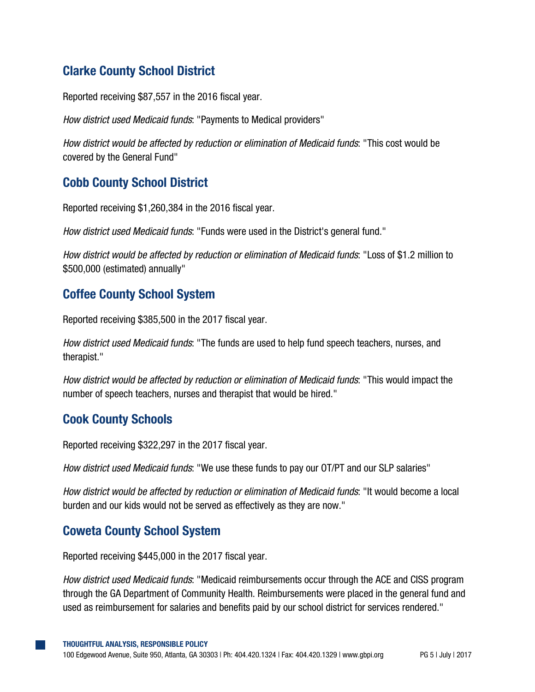## **Clarke County School District**

Reported receiving \$87,557 in the 2016 fiscal year.

*How district used Medicaid funds*: "Payments to Medical providers"

*How district would be affected by reduction or elimination of Medicaid funds*: "This cost would be covered by the General Fund"

#### **Cobb County School District**

Reported receiving \$1,260,384 in the 2016 fiscal year.

*How district used Medicaid funds*: "Funds were used in the District's general fund."

*How district would be affected by reduction or elimination of Medicaid funds*: "Loss of \$1.2 million to \$500,000 (estimated) annually"

#### **Coffee County School System**

Reported receiving \$385,500 in the 2017 fiscal year.

*How district used Medicaid funds*: "The funds are used to help fund speech teachers, nurses, and therapist."

*How district would be affected by reduction or elimination of Medicaid funds*: "This would impact the number of speech teachers, nurses and therapist that would be hired."

#### **Cook County Schools**

Reported receiving \$322,297 in the 2017 fiscal year.

*How district used Medicaid funds*: "We use these funds to pay our OT/PT and our SLP salaries"

*How district would be affected by reduction or elimination of Medicaid funds*: "It would become a local burden and our kids would not be served as effectively as they are now."

#### **Coweta County School System**

Reported receiving \$445,000 in the 2017 fiscal year.

*How district used Medicaid funds*: "Medicaid reimbursements occur through the ACE and CISS program through the GA Department of Community Health. Reimbursements were placed in the general fund and used as reimbursement for salaries and benefits paid by our school district for services rendered."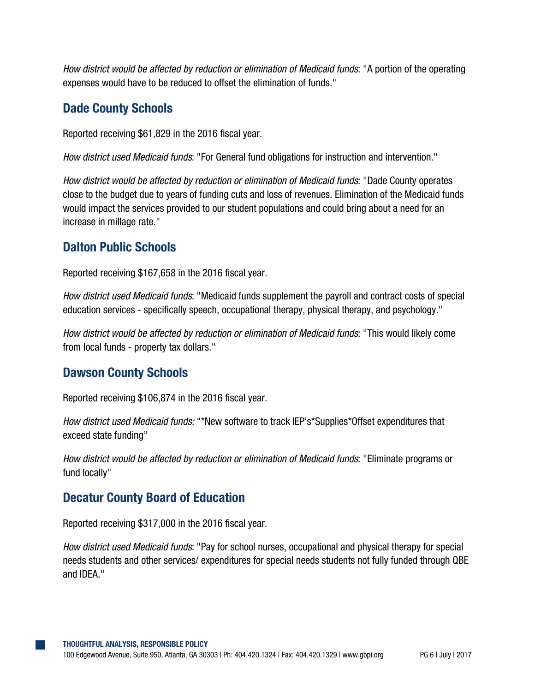*How district would be affected by reduction or elimination of Medicaid funds*: "A portion of the operating expenses would have to be reduced to offset the elimination of funds."

#### **Dade County Schools**

Reported receiving \$61,829 in the 2016 fiscal year.

*How district used Medicaid funds*: "For General fund obligations for instruction and intervention."

*How district would be affected by reduction or elimination of Medicaid funds*: "Dade County operates close to the budget due to years of funding cuts and loss of revenues. Elimination of the Medicaid funds would impact the services provided to our student populations and could bring about a need for an increase in millage rate."

#### **Dalton Public Schools**

Reported receiving \$167,658 in the 2016 fiscal year.

*How district used Medicaid funds*: "Medicaid funds supplement the payroll and contract costs of special education services - specifically speech, occupational therapy, physical therapy, and psychology."

*How district would be affected by reduction or elimination of Medicaid funds*: "This would likely come from local funds - property tax dollars."

#### **Dawson County Schools**

Reported receiving \$106,874 in the 2016 fiscal year.

*How district used Medicaid funds:* "\*New software to track IEP's\*Supplies\*Offset expenditures that exceed state funding"

*How district would be affected by reduction or elimination of Medicaid funds*: "Eliminate programs or fund locally"

#### **Decatur County Board of Education**

Reported receiving \$317,000 in the 2016 fiscal year.

*How district used Medicaid funds*: "Pay for school nurses, occupational and physical therapy for special needs students and other services/ expenditures for special needs students not fully funded through QBE and IDEA."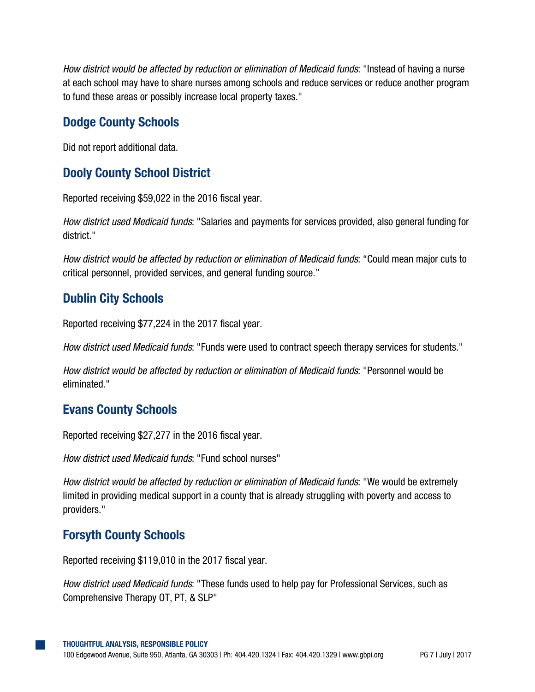*How district would be affected by reduction or elimination of Medicaid funds*: "Instead of having a nurse at each school may have to share nurses among schools and reduce services or reduce another program to fund these areas or possibly increase local property taxes."

#### **Dodge County Schools**

Did not report additional data.

## **Dooly County School District**

Reported receiving \$59,022 in the 2016 fiscal year.

*How district used Medicaid funds*: "Salaries and payments for services provided, also general funding for district."

*How district would be affected by reduction or elimination of Medicaid funds*: "Could mean major cuts to critical personnel, provided services, and general funding source."

## **Dublin City Schools**

Reported receiving \$77,224 in the 2017 fiscal year.

*How district used Medicaid funds*: "Funds were used to contract speech therapy services for students."

*How district would be affected by reduction or elimination of Medicaid funds*: "Personnel would be eliminated."

#### **Evans County Schools**

Reported receiving \$27,277 in the 2016 fiscal year.

*How district used Medicaid funds*: "Fund school nurses"

*How district would be affected by reduction or elimination of Medicaid funds*: "We would be extremely limited in providing medical support in a county that is already struggling with poverty and access to providers."

#### **Forsyth County Schools**

Reported receiving \$119,010 in the 2017 fiscal year.

*How district used Medicaid funds*: "These funds used to help pay for Professional Services, such as Comprehensive Therapy OT, PT, & SLP"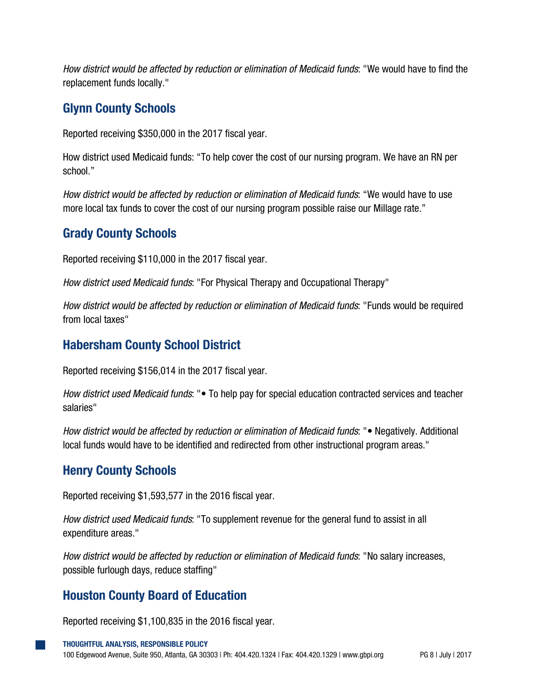*How district would be affected by reduction or elimination of Medicaid funds*: "We would have to find the replacement funds locally."

#### **Glynn County Schools**

Reported receiving \$350,000 in the 2017 fiscal year.

How district used Medicaid funds: "To help cover the cost of our nursing program. We have an RN per school."

*How district would be affected by reduction or elimination of Medicaid funds*: "We would have to use more local tax funds to cover the cost of our nursing program possible raise our Millage rate."

#### **Grady County Schools**

Reported receiving \$110,000 in the 2017 fiscal year.

*How district used Medicaid funds*: "For Physical Therapy and Occupational Therapy"

*How district would be affected by reduction or elimination of Medicaid funds*: "Funds would be required from local taxes"

#### **Habersham County School District**

Reported receiving \$156,014 in the 2017 fiscal year.

*How district used Medicaid funds*: "• To help pay for special education contracted services and teacher salaries"

*How district would be affected by reduction or elimination of Medicaid funds*: "• Negatively. Additional local funds would have to be identified and redirected from other instructional program areas."

#### **Henry County Schools**

Reported receiving \$1,593,577 in the 2016 fiscal year.

*How district used Medicaid funds*: "To supplement revenue for the general fund to assist in all expenditure areas."

*How district would be affected by reduction or elimination of Medicaid funds*: "No salary increases, possible furlough days, reduce staffing"

#### **Houston County Board of Education**

Reported receiving \$1,100,835 in the 2016 fiscal year.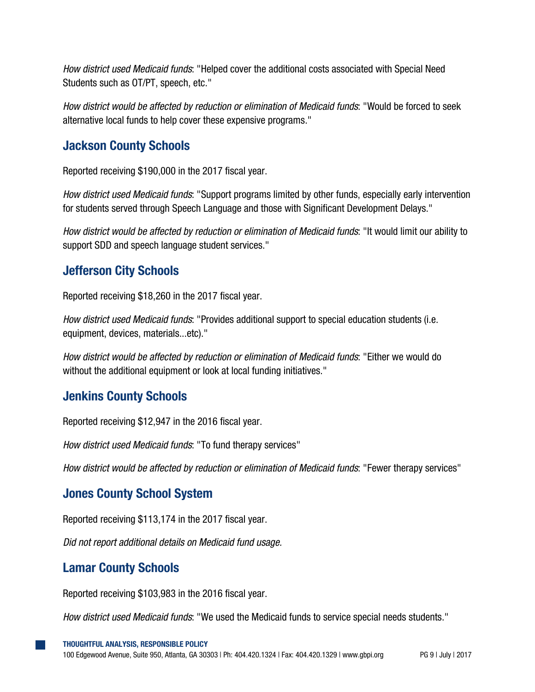*How district used Medicaid funds*: "Helped cover the additional costs associated with Special Need Students such as OT/PT, speech, etc."

*How district would be affected by reduction or elimination of Medicaid funds*: "Would be forced to seek alternative local funds to help cover these expensive programs."

#### **Jackson County Schools**

Reported receiving \$190,000 in the 2017 fiscal year.

*How district used Medicaid funds*: "Support programs limited by other funds, especially early intervention for students served through Speech Language and those with Significant Development Delays."

*How district would be affected by reduction or elimination of Medicaid funds*: "It would limit our ability to support SDD and speech language student services."

## **Jefferson City Schools**

Reported receiving \$18,260 in the 2017 fiscal year.

*How district used Medicaid funds*: "Provides additional support to special education students (i.e. equipment, devices, materials...etc)."

*How district would be affected by reduction or elimination of Medicaid funds*: "Either we would do without the additional equipment or look at local funding initiatives."

## **Jenkins County Schools**

Reported receiving \$12,947 in the 2016 fiscal year.

*How district used Medicaid funds*: "To fund therapy services"

*How district would be affected by reduction or elimination of Medicaid funds*: "Fewer therapy services"

#### **Jones County School System**

Reported receiving \$113,174 in the 2017 fiscal year.

*Did not report additional details on Medicaid fund usage.*

#### **Lamar County Schools**

Reported receiving \$103,983 in the 2016 fiscal year.

*How district used Medicaid funds*: "We used the Medicaid funds to service special needs students."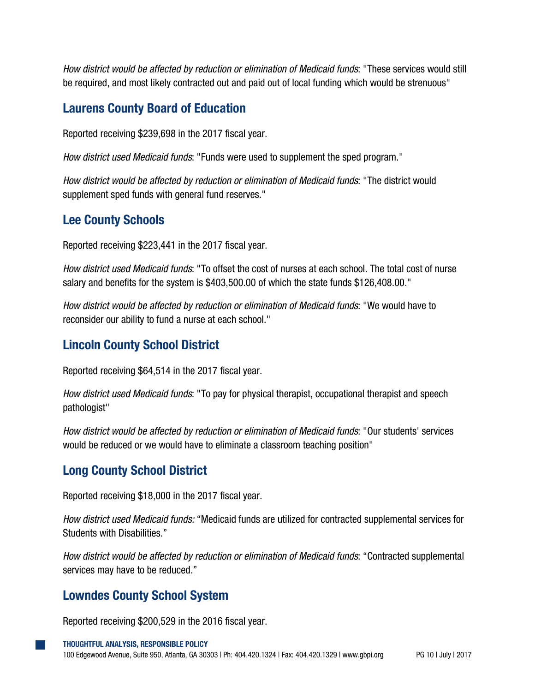*How district would be affected by reduction or elimination of Medicaid funds*: "These services would still be required, and most likely contracted out and paid out of local funding which would be strenuous"

#### **Laurens County Board of Education**

Reported receiving \$239,698 in the 2017 fiscal year.

*How district used Medicaid funds*: "Funds were used to supplement the sped program."

*How district would be affected by reduction or elimination of Medicaid funds*: "The district would supplement sped funds with general fund reserves."

## **Lee County Schools**

Reported receiving \$223,441 in the 2017 fiscal year.

*How district used Medicaid funds*: "To offset the cost of nurses at each school. The total cost of nurse salary and benefits for the system is \$403,500.00 of which the state funds \$126,408.00."

*How district would be affected by reduction or elimination of Medicaid funds*: "We would have to reconsider our ability to fund a nurse at each school."

## **Lincoln County School District**

Reported receiving \$64,514 in the 2017 fiscal year.

*How district used Medicaid funds*: "To pay for physical therapist, occupational therapist and speech pathologist"

*How district would be affected by reduction or elimination of Medicaid funds*: "Our students' services would be reduced or we would have to eliminate a classroom teaching position"

## **Long County School District**

Reported receiving \$18,000 in the 2017 fiscal year.

*How district used Medicaid funds:* "Medicaid funds are utilized for contracted supplemental services for Students with Disabilities."

*How district would be affected by reduction or elimination of Medicaid funds*: "Contracted supplemental services may have to be reduced."

#### **Lowndes County School System**

Reported receiving \$200,529 in the 2016 fiscal year.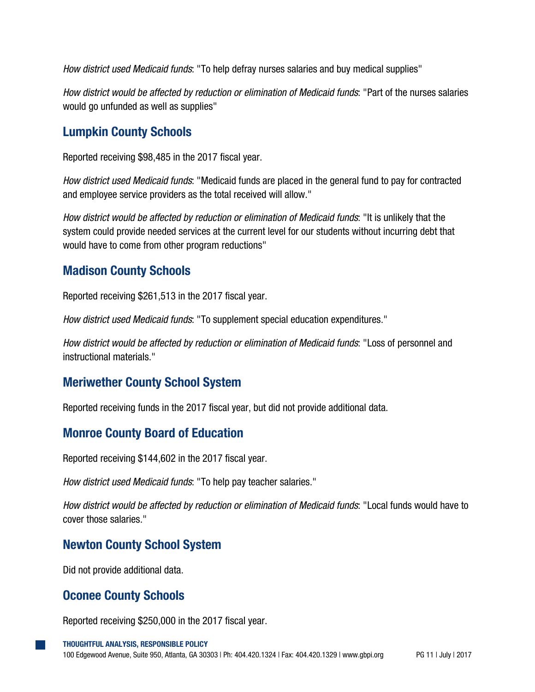*How district used Medicaid funds*: "To help defray nurses salaries and buy medical supplies"

*How district would be affected by reduction or elimination of Medicaid funds*: "Part of the nurses salaries would go unfunded as well as supplies"

#### **Lumpkin County Schools**

Reported receiving \$98,485 in the 2017 fiscal year.

*How district used Medicaid funds*: "Medicaid funds are placed in the general fund to pay for contracted and employee service providers as the total received will allow."

*How district would be affected by reduction or elimination of Medicaid funds*: "It is unlikely that the system could provide needed services at the current level for our students without incurring debt that would have to come from other program reductions"

#### **Madison County Schools**

Reported receiving \$261,513 in the 2017 fiscal year.

*How district used Medicaid funds*: "To supplement special education expenditures."

*How district would be affected by reduction or elimination of Medicaid funds*: "Loss of personnel and instructional materials."

#### **Meriwether County School System**

Reported receiving funds in the 2017 fiscal year, but did not provide additional data.

#### **Monroe County Board of Education**

Reported receiving \$144,602 in the 2017 fiscal year.

*How district used Medicaid funds*: "To help pay teacher salaries."

*How district would be affected by reduction or elimination of Medicaid funds*: "Local funds would have to cover those salaries."

#### **Newton County School System**

Did not provide additional data.

#### **Oconee County Schools**

Reported receiving \$250,000 in the 2017 fiscal year.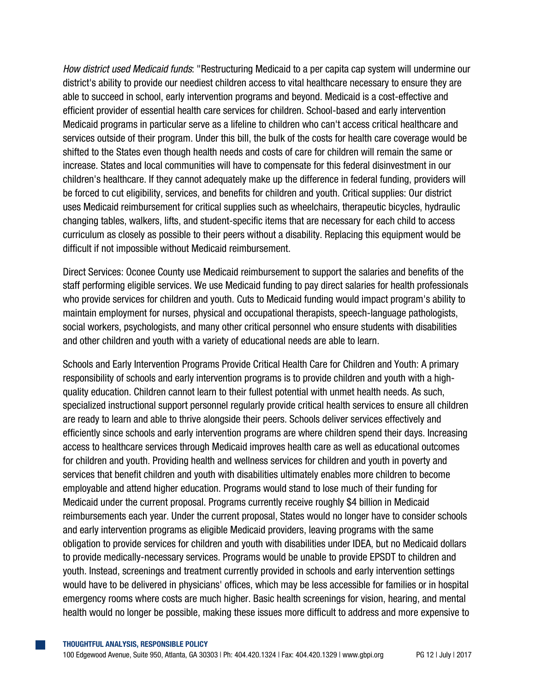*How district used Medicaid funds*: "Restructuring Medicaid to a per capita cap system will undermine our district's ability to provide our neediest children access to vital healthcare necessary to ensure they are able to succeed in school, early intervention programs and beyond. Medicaid is a cost-effective and efficient provider of essential health care services for children. School-based and early intervention Medicaid programs in particular serve as a lifeline to children who can't access critical healthcare and services outside of their program. Under this bill, the bulk of the costs for health care coverage would be shifted to the States even though health needs and costs of care for children will remain the same or increase. States and local communities will have to compensate for this federal disinvestment in our children's healthcare. If they cannot adequately make up the difference in federal funding, providers will be forced to cut eligibility, services, and benefits for children and youth. Critical supplies: Our district uses Medicaid reimbursement for critical supplies such as wheelchairs, therapeutic bicycles, hydraulic changing tables, walkers, lifts, and student-specific items that are necessary for each child to access curriculum as closely as possible to their peers without a disability. Replacing this equipment would be difficult if not impossible without Medicaid reimbursement.

Direct Services: Oconee County use Medicaid reimbursement to support the salaries and benefits of the staff performing eligible services. We use Medicaid funding to pay direct salaries for health professionals who provide services for children and youth. Cuts to Medicaid funding would impact program's ability to maintain employment for nurses, physical and occupational therapists, speech-language pathologists, social workers, psychologists, and many other critical personnel who ensure students with disabilities and other children and youth with a variety of educational needs are able to learn.

Schools and Early Intervention Programs Provide Critical Health Care for Children and Youth: A primary responsibility of schools and early intervention programs is to provide children and youth with a highquality education. Children cannot learn to their fullest potential with unmet health needs. As such, specialized instructional support personnel regularly provide critical health services to ensure all children are ready to learn and able to thrive alongside their peers. Schools deliver services effectively and efficiently since schools and early intervention programs are where children spend their days. Increasing access to healthcare services through Medicaid improves health care as well as educational outcomes for children and youth. Providing health and wellness services for children and youth in poverty and services that benefit children and youth with disabilities ultimately enables more children to become employable and attend higher education. Programs would stand to lose much of their funding for Medicaid under the current proposal. Programs currently receive roughly \$4 billion in Medicaid reimbursements each year. Under the current proposal, States would no longer have to consider schools and early intervention programs as eligible Medicaid providers, leaving programs with the same obligation to provide services for children and youth with disabilities under IDEA, but no Medicaid dollars to provide medically-necessary services. Programs would be unable to provide EPSDT to children and youth. Instead, screenings and treatment currently provided in schools and early intervention settings would have to be delivered in physicians' offices, which may be less accessible for families or in hospital emergency rooms where costs are much higher. Basic health screenings for vision, hearing, and mental health would no longer be possible, making these issues more difficult to address and more expensive to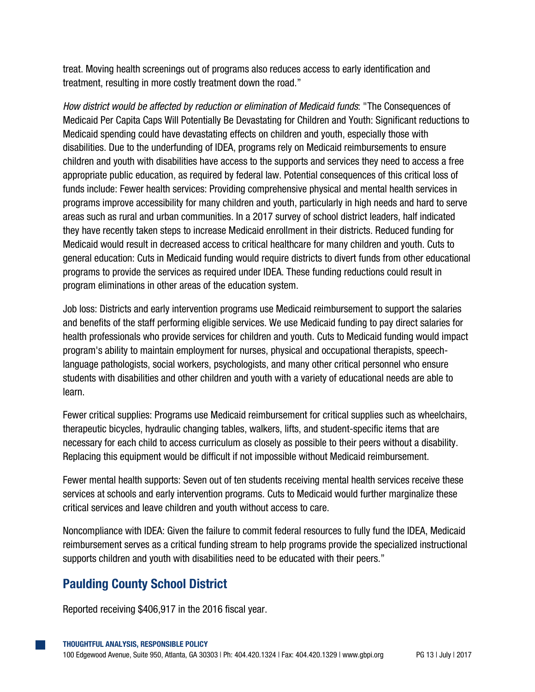treat. Moving health screenings out of programs also reduces access to early identification and treatment, resulting in more costly treatment down the road."

*How district would be affected by reduction or elimination of Medicaid funds*: "The Consequences of Medicaid Per Capita Caps Will Potentially Be Devastating for Children and Youth: Significant reductions to Medicaid spending could have devastating effects on children and youth, especially those with disabilities. Due to the underfunding of IDEA, programs rely on Medicaid reimbursements to ensure children and youth with disabilities have access to the supports and services they need to access a free appropriate public education, as required by federal law. Potential consequences of this critical loss of funds include: Fewer health services: Providing comprehensive physical and mental health services in programs improve accessibility for many children and youth, particularly in high needs and hard to serve areas such as rural and urban communities. In a 2017 survey of school district leaders, half indicated they have recently taken steps to increase Medicaid enrollment in their districts. Reduced funding for Medicaid would result in decreased access to critical healthcare for many children and youth. Cuts to general education: Cuts in Medicaid funding would require districts to divert funds from other educational programs to provide the services as required under IDEA. These funding reductions could result in program eliminations in other areas of the education system.

Job loss: Districts and early intervention programs use Medicaid reimbursement to support the salaries and benefits of the staff performing eligible services. We use Medicaid funding to pay direct salaries for health professionals who provide services for children and youth. Cuts to Medicaid funding would impact program's ability to maintain employment for nurses, physical and occupational therapists, speechlanguage pathologists, social workers, psychologists, and many other critical personnel who ensure students with disabilities and other children and youth with a variety of educational needs are able to learn.

Fewer critical supplies: Programs use Medicaid reimbursement for critical supplies such as wheelchairs, therapeutic bicycles, hydraulic changing tables, walkers, lifts, and student-specific items that are necessary for each child to access curriculum as closely as possible to their peers without a disability. Replacing this equipment would be difficult if not impossible without Medicaid reimbursement.

Fewer mental health supports: Seven out of ten students receiving mental health services receive these services at schools and early intervention programs. Cuts to Medicaid would further marginalize these critical services and leave children and youth without access to care.

Noncompliance with IDEA: Given the failure to commit federal resources to fully fund the IDEA, Medicaid reimbursement serves as a critical funding stream to help programs provide the specialized instructional supports children and youth with disabilities need to be educated with their peers."

#### **Paulding County School District**

Reported receiving \$406,917 in the 2016 fiscal year.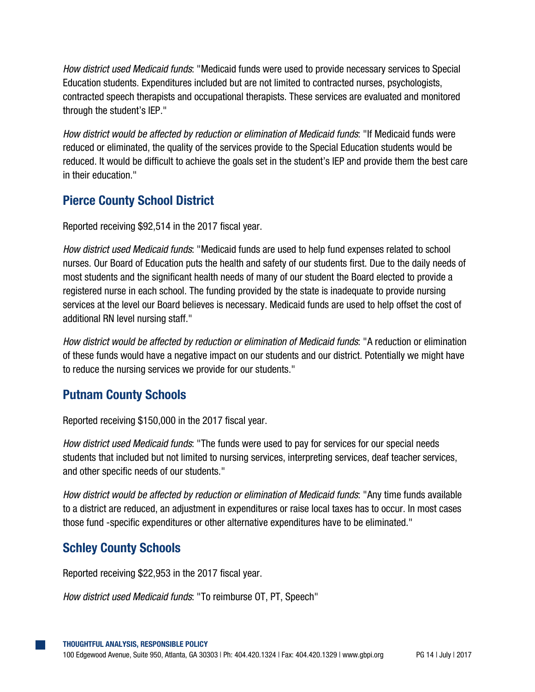*How district used Medicaid funds*: "Medicaid funds were used to provide necessary services to Special Education students. Expenditures included but are not limited to contracted nurses, psychologists, contracted speech therapists and occupational therapists. These services are evaluated and monitored through the student's IEP."

*How district would be affected by reduction or elimination of Medicaid funds*: "If Medicaid funds were reduced or eliminated, the quality of the services provide to the Special Education students would be reduced. It would be difficult to achieve the goals set in the student's IEP and provide them the best care in their education."

## **Pierce County School District**

Reported receiving \$92,514 in the 2017 fiscal year.

*How district used Medicaid funds*: "Medicaid funds are used to help fund expenses related to school nurses. Our Board of Education puts the health and safety of our students first. Due to the daily needs of most students and the significant health needs of many of our student the Board elected to provide a registered nurse in each school. The funding provided by the state is inadequate to provide nursing services at the level our Board believes is necessary. Medicaid funds are used to help offset the cost of additional RN level nursing staff."

*How district would be affected by reduction or elimination of Medicaid funds*: "A reduction or elimination of these funds would have a negative impact on our students and our district. Potentially we might have to reduce the nursing services we provide for our students."

#### **Putnam County Schools**

Reported receiving \$150,000 in the 2017 fiscal year.

*How district used Medicaid funds*: "The funds were used to pay for services for our special needs students that included but not limited to nursing services, interpreting services, deaf teacher services, and other specific needs of our students."

*How district would be affected by reduction or elimination of Medicaid funds*: "Any time funds available to a district are reduced, an adjustment in expenditures or raise local taxes has to occur. In most cases those fund -specific expenditures or other alternative expenditures have to be eliminated."

#### **Schley County Schools**

Reported receiving \$22,953 in the 2017 fiscal year.

*How district used Medicaid funds*: "To reimburse OT, PT, Speech"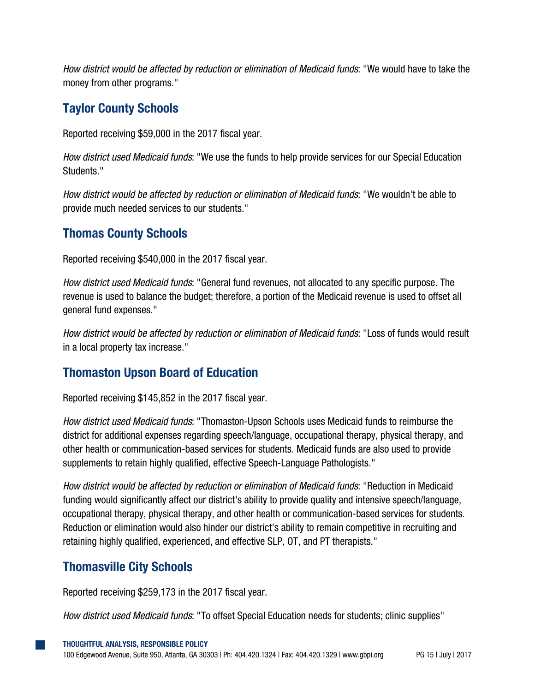*How district would be affected by reduction or elimination of Medicaid funds*: "We would have to take the money from other programs."

#### **Taylor County Schools**

Reported receiving \$59,000 in the 2017 fiscal year.

*How district used Medicaid funds*: "We use the funds to help provide services for our Special Education Students."

*How district would be affected by reduction or elimination of Medicaid funds*: "We wouldn't be able to provide much needed services to our students."

## **Thomas County Schools**

Reported receiving \$540,000 in the 2017 fiscal year.

*How district used Medicaid funds*: "General fund revenues, not allocated to any specific purpose. The revenue is used to balance the budget; therefore, a portion of the Medicaid revenue is used to offset all general fund expenses."

*How district would be affected by reduction or elimination of Medicaid funds*: "Loss of funds would result in a local property tax increase."

## **Thomaston Upson Board of Education**

Reported receiving \$145,852 in the 2017 fiscal year.

*How district used Medicaid funds*: "Thomaston-Upson Schools uses Medicaid funds to reimburse the district for additional expenses regarding speech/language, occupational therapy, physical therapy, and other health or communication-based services for students. Medicaid funds are also used to provide supplements to retain highly qualified, effective Speech-Language Pathologists."

*How district would be affected by reduction or elimination of Medicaid funds*: "Reduction in Medicaid funding would significantly affect our district's ability to provide quality and intensive speech/language, occupational therapy, physical therapy, and other health or communication-based services for students. Reduction or elimination would also hinder our district's ability to remain competitive in recruiting and retaining highly qualified, experienced, and effective SLP, OT, and PT therapists."

#### **Thomasville City Schools**

Reported receiving \$259,173 in the 2017 fiscal year.

*How district used Medicaid funds*: "To offset Special Education needs for students; clinic supplies"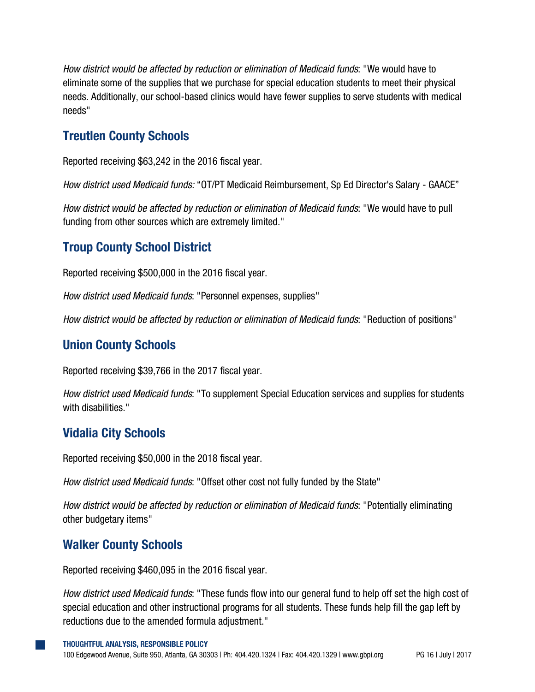*How district would be affected by reduction or elimination of Medicaid funds*: "We would have to eliminate some of the supplies that we purchase for special education students to meet their physical needs. Additionally, our school-based clinics would have fewer supplies to serve students with medical needs"

#### **Treutlen County Schools**

Reported receiving \$63,242 in the 2016 fiscal year.

*How district used Medicaid funds:* "OT/PT Medicaid Reimbursement, Sp Ed Director's Salary - GAACE"

*How district would be affected by reduction or elimination of Medicaid funds*: "We would have to pull funding from other sources which are extremely limited."

#### **Troup County School District**

Reported receiving \$500,000 in the 2016 fiscal year.

*How district used Medicaid funds*: "Personnel expenses, supplies"

*How district would be affected by reduction or elimination of Medicaid funds*: "Reduction of positions"

#### **Union County Schools**

Reported receiving \$39,766 in the 2017 fiscal year.

*How district used Medicaid funds*: "To supplement Special Education services and supplies for students with disabilities."

#### **Vidalia City Schools**

Reported receiving \$50,000 in the 2018 fiscal year.

*How district used Medicaid funds*: "Offset other cost not fully funded by the State"

*How district would be affected by reduction or elimination of Medicaid funds*: "Potentially eliminating other budgetary items"

#### **Walker County Schools**

Reported receiving \$460,095 in the 2016 fiscal year.

*How district used Medicaid funds*: "These funds flow into our general fund to help off set the high cost of special education and other instructional programs for all students. These funds help fill the gap left by reductions due to the amended formula adjustment."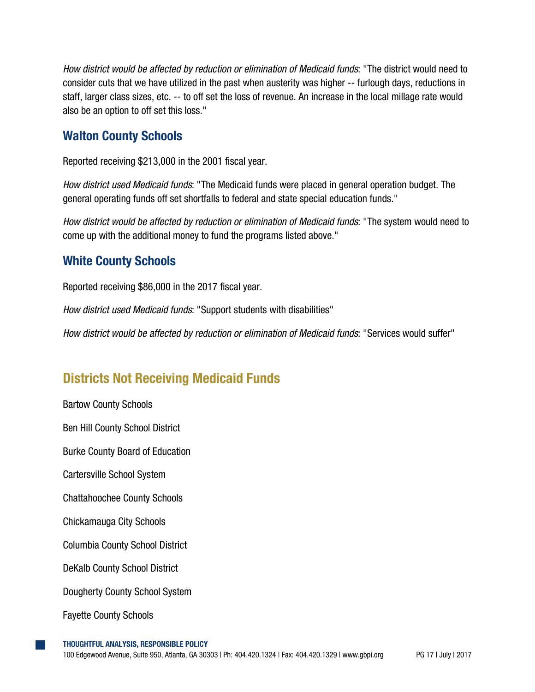*How district would be affected by reduction or elimination of Medicaid funds*: "The district would need to consider cuts that we have utilized in the past when austerity was higher -- furlough days, reductions in staff, larger class sizes, etc. -- to off set the loss of revenue. An increase in the local millage rate would also be an option to off set this loss."

#### **Walton County Schools**

Reported receiving \$213,000 in the 2001 fiscal year.

*How district used Medicaid funds*: "The Medicaid funds were placed in general operation budget. The general operating funds off set shortfalls to federal and state special education funds."

*How district would be affected by reduction or elimination of Medicaid funds*: "The system would need to come up with the additional money to fund the programs listed above."

#### **White County Schools**

Reported receiving \$86,000 in the 2017 fiscal year.

*How district used Medicaid funds*: "Support students with disabilities"

*How district would be affected by reduction or elimination of Medicaid funds*: "Services would suffer"

## **Districts Not Receiving Medicaid Funds**

Bartow County Schools Ben Hill County School District Burke County Board of Education Cartersville School System Chattahoochee County Schools Chickamauga City Schools Columbia County School District DeKalb County School District Dougherty County School System Fayette County Schools